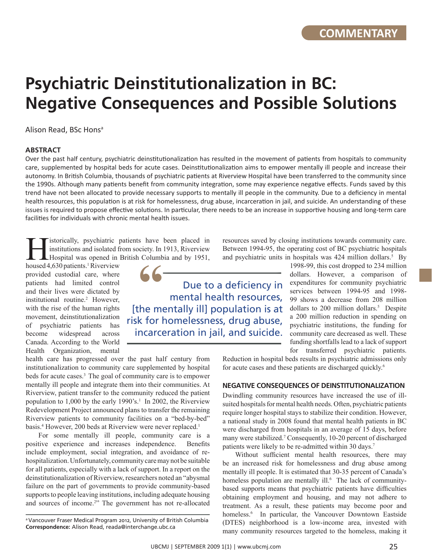# **Psychiatric Deinstitutionalization in BC: Negative Consequences and Possible Solutions**

Alison Read, BSc Hons<sup>a</sup>

## **ABSTRACT**

Over the past half century, psychiatric deinstitutionalization has resulted in the movement of patients from hospitals to community care, supplemented by hospital beds for acute cases. Deinstitutionalization aims to empower mentally ill people and increase their autonomy. In British Columbia, thousands of psychiatric patients at Riverview Hospital have been transferred to the community since the 1990s. Although many patients benefit from community integration, some may experience negative effects. Funds saved by this trend have not been allocated to provide necessary supports to mentally ill people in the community. Due to a deficiency in mental health resources, this population is at risk for homelessness, drug abuse, incarceration in jail, and suicide. An understanding of these issues is required to propose effective solutions. In particular, there needs to be an increase in supportive housing and long-term care facilities for individuals with chronic mental health issues.

istorically, psychiatric patients have been placed in institutions and isolated from society. In 1913, Riverview Hospital was opened in British Columbia and by 1951,

housed 4,630 patients.<sup>1</sup> Riverview provided custodial care, where patients had limited control and their lives were dictated by institutional routine.<sup>2</sup> However, with the rise of the human rights movement, deinstitutionalization of psychiatric patients has become widespread across Canada. According to the World Health Organization, mental

Due to a deficiency in mental health resources, **66**<br>
Due to a deficiency in<br>
mental health resources,<br>
[the mentally ill] population is at risk for homelessness, drug abuse, incarceration in jail, and suicide.

resources saved by closing institutions towards community care. Between 1994-95, the operating cost of BC psychiatric hospitals and psychiatric units in hospitals was 424 million dollars.<sup>5</sup> By

1998-99, this cost dropped to 234 million dollars. However, a comparison of expenditures for community psychiatric services between 1994-95 and 1998- 99 shows a decrease from 208 million dollars to 200 million dollars.<sup>5</sup> Despite a 200 million reduction in spending on psychiatric institutions, the funding for community care decreased as well. These funding shortfalls lead to a lack of support for transferred psychiatric patients.

health care has progressed over the past half century from institutionalization to community care supplemented by hospital beds for acute cases.3 The goal of community care is to empower mentally ill people and integrate them into their communities. At Riverview, patient transfer to the community reduced the patient population to  $1,000$  by the early 1990's.<sup>1</sup> In 2002, the Riverview Redevelopment Project announced plans to transfer the remaining Riverview patients to community facilities on a "bed-by-bed" basis.<sup>4</sup> However, 200 beds at Riverview were never replaced.<sup>1</sup>

For some mentally ill people, community care is a positive experience and increases independence. Benefits include employment, social integration, and avoidance of rehospitalization. Unfortunately, community care may not be suitable for all patients, especially with a lack of support. In a report on the deinstitutionalization of Riverview, researchers noted an "abysmal failure on the part of governments to provide community-based supports to people leaving institutions, including adequate housing and sources of income.<sup>2</sup>" The government has not re-allocated Reduction in hospital beds results in psychiatric admissions only for acute cases and these patients are discharged quickly.6

### **Negative consequences of Deinstitutionalization**

Dwindling community resources have increased the use of illsuited hospitals for mental health needs. Often, psychiatric patients require longer hospital stays to stabilize their condition. However, a national study in 2008 found that mental health patients in BC were discharged from hospitals in an average of 15 days, before many were stabilized.<sup>7</sup> Consequently, 10-20 percent of discharged patients were likely to be re-admitted within 30 days.7

Without sufficient mental health resources, there may be an increased risk for homelessness and drug abuse among mentally ill people. It is estimated that 30-35 percent of Canada's homeless population are mentally ill.<sup>6</sup> The lack of communitybased supports means that psychiatric patients have difficulties obtaining employment and housing, and may not adhere to treatment. As a result, these patients may become poor and homeless.<sup>6</sup> In particular, the Vancouver Downtown Eastside (DTES) neighborhood is a low-income area, invested with many community resources targeted to the homeless, making it

<sup>&</sup>lt;sup>a</sup> Vancouver Fraser Medical Program 2012, University of British Columbia **Correspondence:** Alison Read, reada@interchange.ubc.ca